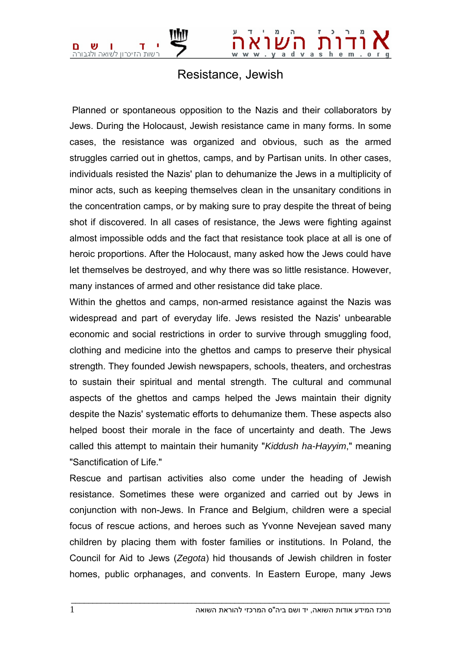## Resistance, Jewish

 Planned or spontaneous opposition to the Nazis and their collaborators by Jews. During the Holocaust, Jewish resistance came in many forms. In some cases, the resistance was organized and obvious, such as the armed struggles carried out in ghettos, camps, and by Partisan units. In other cases, individuals resisted the Nazis' plan to dehumanize the Jews in a multiplicity of minor acts, such as keeping themselves clean in the unsanitary conditions in the concentration camps, or by making sure to pray despite the threat of being shot if discovered. In all cases of resistance, the Jews were fighting against almost impossible odds and the fact that resistance took place at all is one of heroic proportions. After the Holocaust, many asked how the Jews could have let themselves be destroyed, and why there was so little resistance. However, many instances of armed and other resistance did take place.

Within the ghettos and camps, non-armed resistance against the Nazis was widespread and part of everyday life. Jews resisted the Nazis' unbearable economic and social restrictions in order to survive through smuggling food, clothing and medicine into the ghettos and camps to preserve their physical strength. They founded Jewish newspapers, schools, theaters, and orchestras to sustain their spiritual and mental strength. The cultural and communal aspects of the ghettos and camps helped the Jews maintain their dignity despite the Nazis' systematic efforts to dehumanize them. These aspects also helped boost their morale in the face of uncertainty and death. The Jews called this attempt to maintain their humanity "*Kiddush ha-Hayyim*," meaning "Sanctification of Life."

Rescue and partisan activities also come under the heading of Jewish resistance. Sometimes these were organized and carried out by Jews in conjunction with non-Jews. In France and Belgium, children were a special focus of rescue actions, and heroes such as Yvonne Nevejean saved many children by placing them with foster families or institutions. In Poland, the Council for Aid to Jews (*Zegota*) hid thousands of Jewish children in foster homes, public orphanages, and convents. In Eastern Europe, many Jews

 $\bot$  , and the set of the set of the set of the set of the set of the set of the set of the set of the set of the set of the set of the set of the set of the set of the set of the set of the set of the set of the set of t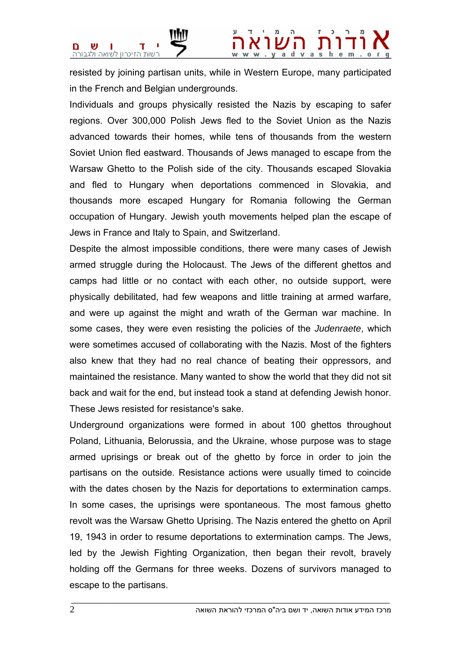

resisted by joining partisan units, while in Western Europe, many participated in the French and Belgian undergrounds.

Individuals and groups physically resisted the Nazis by escaping to safer regions. Over 300,000 Polish Jews fled to the Soviet Union as the Nazis advanced towards their homes, while tens of thousands from the western Soviet Union fled eastward. Thousands of Jews managed to escape from the Warsaw Ghetto to the Polish side of the city. Thousands escaped Slovakia and fled to Hungary when deportations commenced in Slovakia, and thousands more escaped Hungary for Romania following the German occupation of Hungary. Jewish youth movements helped plan the escape of Jews in France and Italy to Spain, and Switzerland.

Despite the almost impossible conditions, there were many cases of Jewish armed struggle during the Holocaust. The Jews of the different ghettos and camps had little or no contact with each other, no outside support, were physically debilitated, had few weapons and little training at armed warfare, and were up against the might and wrath of the German war machine. In some cases, they were even resisting the policies of the *Judenraete*, which were sometimes accused of collaborating with the Nazis. Most of the fighters also knew that they had no real chance of beating their oppressors, and maintained the resistance. Many wanted to show the world that they did not sit back and wait for the end, but instead took a stand at defending Jewish honor. These Jews resisted for resistance's sake.

Underground organizations were formed in about 100 ghettos throughout Poland, Lithuania, Belorussia, and the Ukraine, whose purpose was to stage armed uprisings or break out of the ghetto by force in order to join the partisans on the outside. Resistance actions were usually timed to coincide with the dates chosen by the Nazis for deportations to extermination camps. In some cases, the uprisings were spontaneous. The most famous ghetto revolt was the Warsaw Ghetto Uprising. The Nazis entered the ghetto on April 19, 1943 in order to resume deportations to extermination camps. The Jews, led by the Jewish Fighting Organization, then began their revolt, bravely holding off the Germans for three weeks. Dozens of survivors managed to escape to the partisans.

 $\bot$  , and the set of the set of the set of the set of the set of the set of the set of the set of the set of the set of the set of the set of the set of the set of the set of the set of the set of the set of the set of t